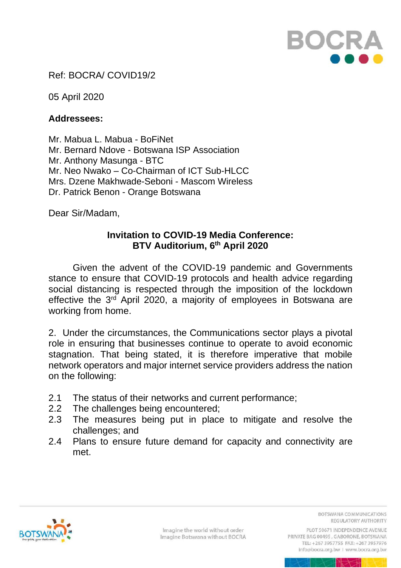

## Ref: BOCRA/ COVID19/2

05 April 2020

## **Addressees:**

Mr. Mabua L. Mabua - BoFiNet Mr. Bernard Ndove - Botswana ISP Association Mr. Anthony Masunga - BTC Mr. Neo Nwako – Co-Chairman of ICT Sub-HLCC Mrs. Dzene Makhwade-Seboni - Mascom Wireless Dr. Patrick Benon - Orange Botswana

Dear Sir/Madam,

## **Invitation to COVID-19 Media Conference: BTV Auditorium, 6 th April 2020**

Given the advent of the COVID-19 pandemic and Governments stance to ensure that COVID-19 protocols and health advice regarding social distancing is respected through the imposition of the lockdown effective the  $3^{rd}$  April 2020, a majority of employees in Botswana are working from home.

2. Under the circumstances, the Communications sector plays a pivotal role in ensuring that businesses continue to operate to avoid economic stagnation. That being stated, it is therefore imperative that mobile network operators and major internet service providers address the nation on the following:

- 2.1 The status of their networks and current performance;
- 2.2 The challenges being encountered;
- 2.3 The measures being put in place to mitigate and resolve the challenges; and
- 2.4 Plans to ensure future demand for capacity and connectivity are met.



Imagine the world without order Imagine Botswana without BOCRA BOTSWANA COMMUNICATIONS REGULATORY AUTHORITY

PLOT 50671 INDEPENDENCE AVENUE PRIVATE BAG 00495, GABORONE, BOTSWANA TEL: +267 3957755 FAX: +267 3957976 info@bocra.org.bw | www.bocra.org.bw